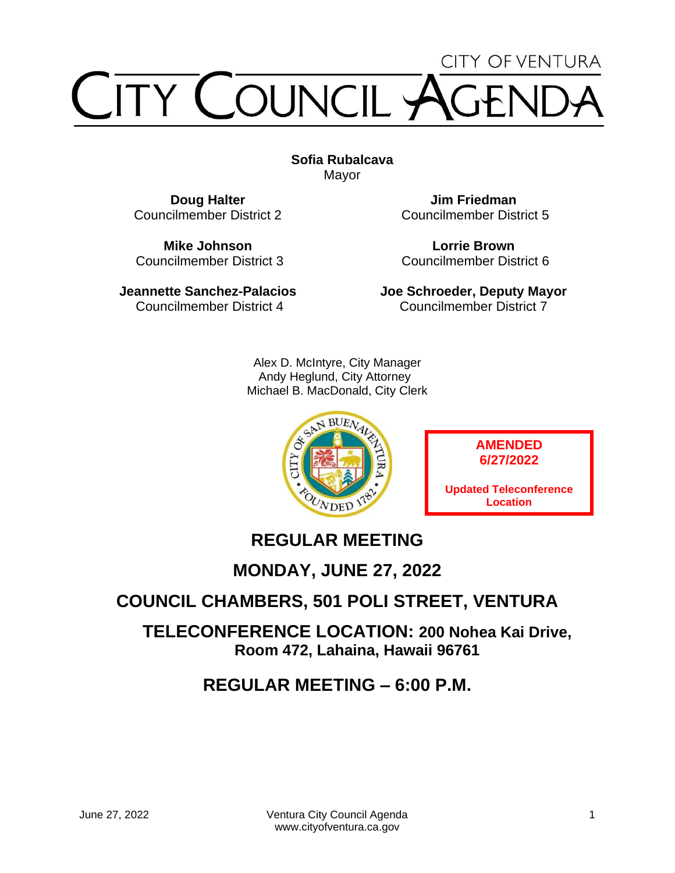# CITY OF VENTURA TY COUNCIL

**Sofia Rubalcava** Mayor

**Doug Halter** Councilmember District 2

**Mike Johnson** Councilmember District 3

**Jeannette Sanchez-Palacios** Councilmember District 4

**Jim Friedman** Councilmember District 5

**Lorrie Brown** Councilmember District 6

**Joe Schroeder, Deputy Mayor** Councilmember District 7

Alex D. McIntyre, City Manager Andy Heglund, City Attorney Michael B. MacDonald, City Clerk



**AMENDED 6/27/2022**

**Updated Teleconference Location**

# **REGULAR MEETING**

**MONDAY, JUNE 27, 2022**

# **COUNCIL CHAMBERS, 501 POLI STREET, VENTURA**

**TELECONFERENCE LOCATION: 200 Nohea Kai Drive, Room 472, Lahaina, Hawaii 96761**

# **REGULAR MEETING – 6:00 P.M.**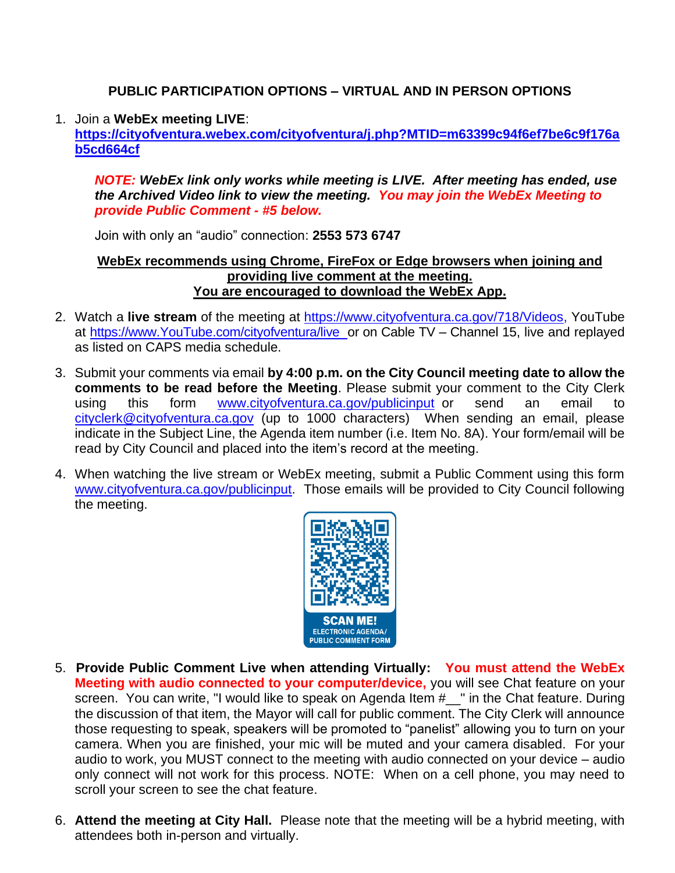### **PUBLIC PARTICIPATION OPTIONS – VIRTUAL AND IN PERSON OPTIONS**

#### 1. Join a **WebEx meeting LIVE**:

**[https://cityofventura.webex.com/cityofventura/j.php?MTID=m63399c94f6ef7be6c9f176a](https://cityofventura.webex.com/cityofventura/j.php?MTID=m63399c94f6ef7be6c9f176ab5cd664cf) [b5cd664cf](https://cityofventura.webex.com/cityofventura/j.php?MTID=m63399c94f6ef7be6c9f176ab5cd664cf)**

*NOTE: WebEx link only works while meeting is LIVE. After meeting has ended, use the Archived Video link to view the meeting. You may join the WebEx Meeting to provide Public Comment - #5 below.*

Join with only an "audio" connection: **2553 573 6747**

#### **WebEx recommends using Chrome, FireFox or Edge browsers when joining and providing live comment at the meeting. You are encouraged to download the WebEx App.**

- 2. Watch a **live stream** of the meeting at [https://www.cityofventura.ca.gov/718/Videos,](https://www.cityofventura.ca.gov/718/Videos) YouTube at [https://www.YouTube.com/cityofventura/live](https://www.youtube.com/cityofventura/live) or on Cable TV – Channel 15, live and replayed as listed on CAPS media schedule.
- 3. Submit your comments via email **by 4:00 p.m. on the City Council meeting date to allow the comments to be read before the Meeting**. Please submit your comment to the City Clerk using this form [www.cityofventura.ca.gov/publicinput](http://www.cityofventura.ca.gov/publicinput) or send an email to [cityclerk@cityofventura.ca.gov](mailto:cityclerk@cityofventura.ca.gov) (up to 1000 characters) When sending an email, please indicate in the Subject Line, the Agenda item number (i.e. Item No. 8A). Your form/email will be read by City Council and placed into the item's record at the meeting.
- 4. When watching the live stream or WebEx meeting, submit a Public Comment using this form [www.cityofventura.ca.gov/publicinput.](http://www.cityofventura.ca.gov/publicinput) Those emails will be provided to City Council following the meeting.



- 5. **Provide Public Comment Live when attending Virtually: You must attend the WebEx Meeting with audio connected to your computer/device,** you will see Chat feature on your screen. You can write, "I would like to speak on Agenda Item #\_\_" in the Chat feature. During the discussion of that item, the Mayor will call for public comment. The City Clerk will announce those requesting to speak, speakers will be promoted to "panelist" allowing you to turn on your camera. When you are finished, your mic will be muted and your camera disabled. For your audio to work, you MUST connect to the meeting with audio connected on your device – audio only connect will not work for this process. NOTE: When on a cell phone, you may need to scroll your screen to see the chat feature.
- $\Omega$  it and the meeting at  $\mathbf{C}$ ity Hall  $\Box$  Diegen pote that the meeting will be a by brid meeting 6. **Attend the meeting at City Hall.** Please note that the meeting will be a hybrid meeting, with attendees both in-person and virtually.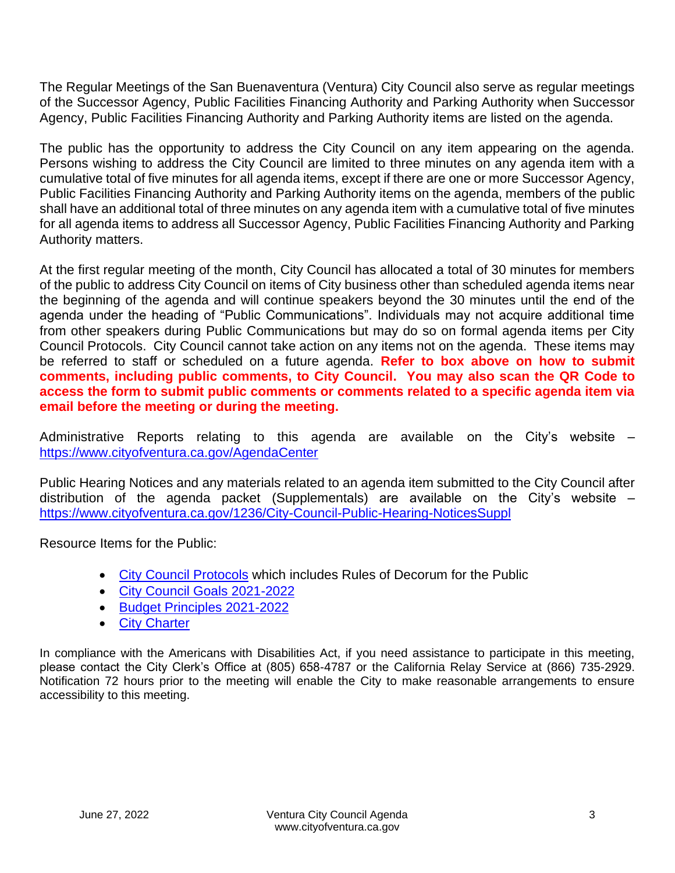The Regular Meetings of the San Buenaventura (Ventura) City Council also serve as regular meetings of the Successor Agency, Public Facilities Financing Authority and Parking Authority when Successor Agency, Public Facilities Financing Authority and Parking Authority items are listed on the agenda.

The public has the opportunity to address the City Council on any item appearing on the agenda. Persons wishing to address the City Council are limited to three minutes on any agenda item with a cumulative total of five minutes for all agenda items, except if there are one or more Successor Agency, Public Facilities Financing Authority and Parking Authority items on the agenda, members of the public shall have an additional total of three minutes on any agenda item with a cumulative total of five minutes for all agenda items to address all Successor Agency, Public Facilities Financing Authority and Parking Authority matters.

At the first regular meeting of the month, City Council has allocated a total of 30 minutes for members of the public to address City Council on items of City business other than scheduled agenda items near the beginning of the agenda and will continue speakers beyond the 30 minutes until the end of the agenda under the heading of "Public Communications". Individuals may not acquire additional time from other speakers during Public Communications but may do so on formal agenda items per City Council Protocols. City Council cannot take action on any items not on the agenda. These items may be referred to staff or scheduled on a future agenda. **Refer to box above on how to submit comments, including public comments, to City Council. You may also scan the QR Code to access the form to submit public comments or comments related to a specific agenda item via email before the meeting or during the meeting.**

Administrative Reports relating to this agenda are available on the City's website – <https://www.cityofventura.ca.gov/AgendaCenter>

Public Hearing Notices and any materials related to an agenda item submitted to the City Council after distribution of the agenda packet (Supplementals) are available on the City's website  $$ <https://www.cityofventura.ca.gov/1236/City-Council-Public-Hearing-NoticesSuppl>

Resource Items for the Public:

- [City Council Protocols](https://www.cityofventura.ca.gov/DocumentCenter/View/7563/City-Council-Protocols) which includes Rules of Decorum for the Public
- [City Council Goals 2021-2022](https://www.cityofventura.ca.gov/DocumentCenter/View/26426/Adopted-City-Council-Goals-2021-2022-02242021)
- [Budget Principles 2021-2022](https://www.cityofventura.ca.gov/DocumentCenter/View/26427/FY-2021-22-Budget-Principles-Adopted-02242021)
- [City Charter](https://library.municode.com/ca/san_buenaventura/codes/code_of_ordinances?nodeId=CH)

In compliance with the Americans with Disabilities Act, if you need assistance to participate in this meeting, please contact the City Clerk's Office at (805) 658-4787 or the California Relay Service at (866) 735-2929. Notification 72 hours prior to the meeting will enable the City to make reasonable arrangements to ensure accessibility to this meeting.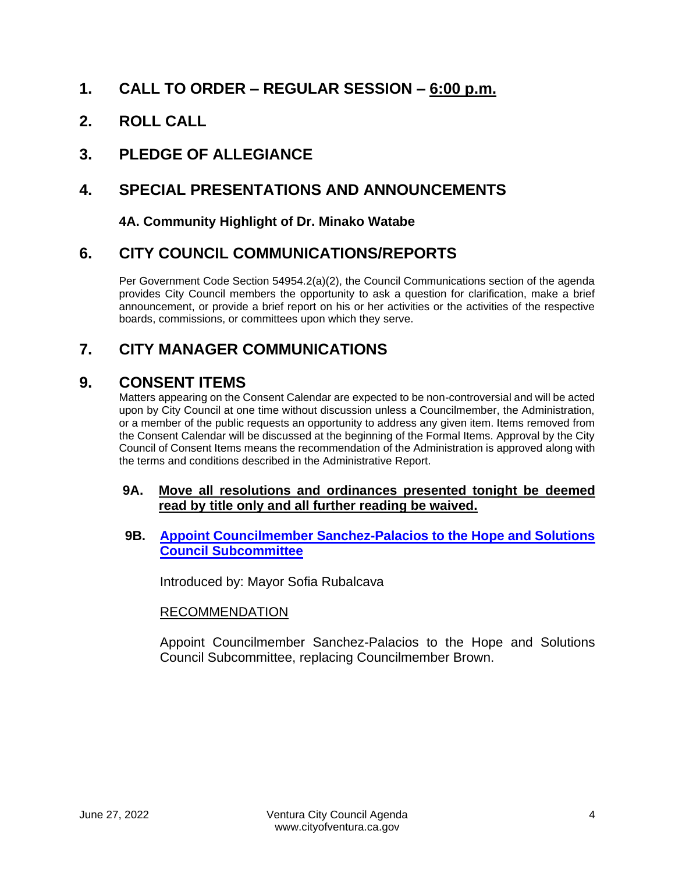### **1. CALL TO ORDER – REGULAR SESSION – 6:00 p.m.**

**2. ROLL CALL**

# **3. PLEDGE OF ALLEGIANCE**

# **4. SPECIAL PRESENTATIONS AND ANNOUNCEMENTS**

### **4A. Community Highlight of Dr. Minako Watabe**

### **6. CITY COUNCIL COMMUNICATIONS/REPORTS**

Per Government Code Section 54954.2(a)(2), the Council Communications section of the agenda provides City Council members the opportunity to ask a question for clarification, make a brief announcement, or provide a brief report on his or her activities or the activities of the respective boards, commissions, or committees upon which they serve.

# **7. CITY MANAGER COMMUNICATIONS**

### **9. CONSENT ITEMS**

Matters appearing on the Consent Calendar are expected to be non-controversial and will be acted upon by City Council at one time without discussion unless a Councilmember, the Administration, or a member of the public requests an opportunity to address any given item. Items removed from the Consent Calendar will be discussed at the beginning of the Formal Items. Approval by the City Council of Consent Items means the recommendation of the Administration is approved along with the terms and conditions described in the Administrative Report.

#### **9A. Move all resolutions and ordinances presented tonight be deemed read by title only and all further reading be waived.**

#### **9B. [Appoint Councilmember Sanchez-Palacios to the Hope and Solutions](https://www.cityofventura.ca.gov/DocumentCenter/View/32069/9B)  [Council Subcommittee](https://www.cityofventura.ca.gov/DocumentCenter/View/32069/9B)**

Introduced by: Mayor Sofia Rubalcava

### RECOMMENDATION

Appoint Councilmember Sanchez-Palacios to the Hope and Solutions Council Subcommittee, replacing Councilmember Brown.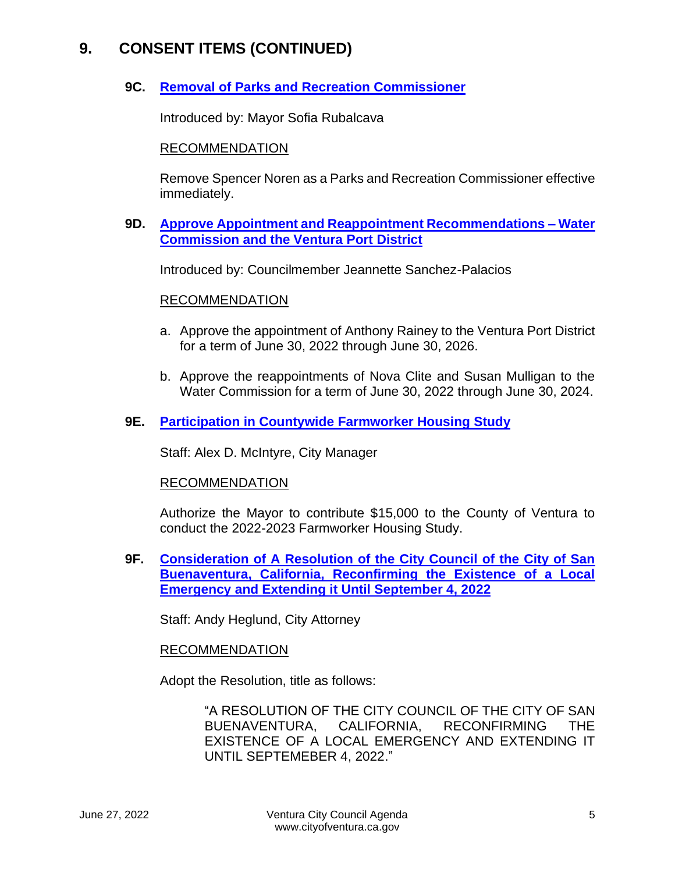### **9C. [Removal of Parks and Recreation Commissioner](https://www.cityofventura.ca.gov/DocumentCenter/View/32070/9C)**

Introduced by: Mayor Sofia Rubalcava

#### RECOMMENDATION

Remove Spencer Noren as a Parks and Recreation Commissioner effective immediately.

#### **9D. [Approve Appointment and Reappointment Recommendations –](https://www.cityofventura.ca.gov/DocumentCenter/View/32071/9D) Water [Commission and the Ventura Port District](https://www.cityofventura.ca.gov/DocumentCenter/View/32071/9D)**

Introduced by: Councilmember Jeannette Sanchez-Palacios

#### RECOMMENDATION

- a. Approve the appointment of Anthony Rainey to the Ventura Port District for a term of June 30, 2022 through June 30, 2026.
- b. Approve the reappointments of Nova Clite and Susan Mulligan to the Water Commission for a term of June 30, 2022 through June 30, 2024.

### **9E. [Participation in Countywide Farmworker Housing Study](https://www.cityofventura.ca.gov/DocumentCenter/View/32072/9E)**

Staff: Alex D. McIntyre, City Manager

#### RECOMMENDATION

Authorize the Mayor to contribute \$15,000 to the County of Ventura to conduct the 2022-2023 Farmworker Housing Study.

**9F. [Consideration of A Resolution of the City Council of the City of San](https://www.cityofventura.ca.gov/DocumentCenter/View/32073/9F)  [Buenaventura, California, Reconfirming the Existence of a Local](https://www.cityofventura.ca.gov/DocumentCenter/View/32073/9F)  [Emergency and Extending it Until September 4, 2022](https://www.cityofventura.ca.gov/DocumentCenter/View/32073/9F)**

Staff: Andy Heglund, City Attorney

#### RECOMMENDATION

Adopt the Resolution, title as follows:

"A RESOLUTION OF THE CITY COUNCIL OF THE CITY OF SAN BUENAVENTURA, CALIFORNIA, RECONFIRMING THE EXISTENCE OF A LOCAL EMERGENCY AND EXTENDING IT UNTIL SEPTEMEBER 4, 2022."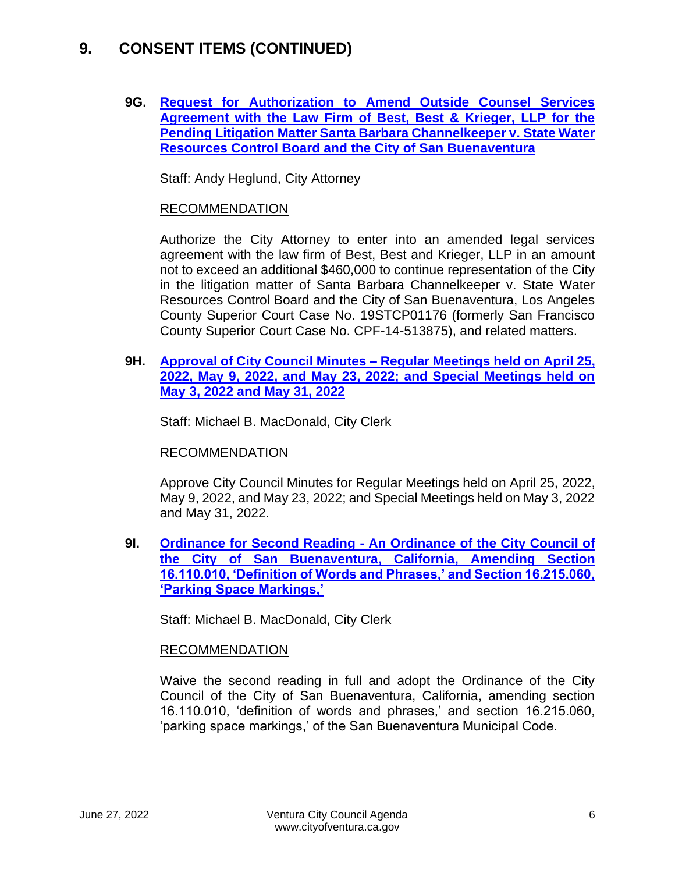**9G. [Request for Authorization to Amend Outside Counsel Services](https://www.cityofventura.ca.gov/DocumentCenter/View/32074/9G)  [Agreement with the Law Firm of Best, Best & Krieger, LLP for the](https://www.cityofventura.ca.gov/DocumentCenter/View/32074/9G)  [Pending Litigation Matter Santa Barbara Channelkeeper v.](https://www.cityofventura.ca.gov/DocumentCenter/View/32074/9G) State Water [Resources Control Board and the City of San Buenaventura](https://www.cityofventura.ca.gov/DocumentCenter/View/32074/9G)**

Staff: Andy Heglund, City Attorney

### RECOMMENDATION

Authorize the City Attorney to enter into an amended legal services agreement with the law firm of Best, Best and Krieger, LLP in an amount not to exceed an additional \$460,000 to continue representation of the City in the litigation matter of Santa Barbara Channelkeeper v. State Water Resources Control Board and the City of San Buenaventura, Los Angeles County Superior Court Case No. 19STCP01176 (formerly San Francisco County Superior Court Case No. CPF-14-513875), and related matters.

**9H. Approval of City Council Minutes – [Regular Meetings held on April 25,](https://www.cityofventura.ca.gov/DocumentCenter/View/32075/9H)  [2022, May 9, 2022, and May 23, 2022; and Special Meetings held on](https://www.cityofventura.ca.gov/DocumentCenter/View/32075/9H)  [May 3, 2022 and May 31, 2022](https://www.cityofventura.ca.gov/DocumentCenter/View/32075/9H)**

Staff: Michael B. MacDonald, City Clerk

### RECOMMENDATION

Approve City Council Minutes for Regular Meetings held on April 25, 2022, May 9, 2022, and May 23, 2022; and Special Meetings held on May 3, 2022 and May 31, 2022.

**9I. Ordinance for Second Reading - [An Ordinance of the City Council of](https://www.cityofventura.ca.gov/DocumentCenter/View/32076/9I)  [the City of San Buenaventura, California, Amending Section](https://www.cityofventura.ca.gov/DocumentCenter/View/32076/9I)  [16.110.010, 'Definition of Words and Phrases,' and Section 16.215.060,](https://www.cityofventura.ca.gov/DocumentCenter/View/32076/9I)  ['Parking Space Markings,'](https://www.cityofventura.ca.gov/DocumentCenter/View/32076/9I)**

Staff: Michael B. MacDonald, City Clerk

### RECOMMENDATION

Waive the second reading in full and adopt the Ordinance of the City Council of the City of San Buenaventura, California, amending section 16.110.010, 'definition of words and phrases,' and section 16.215.060, 'parking space markings,' of the San Buenaventura Municipal Code.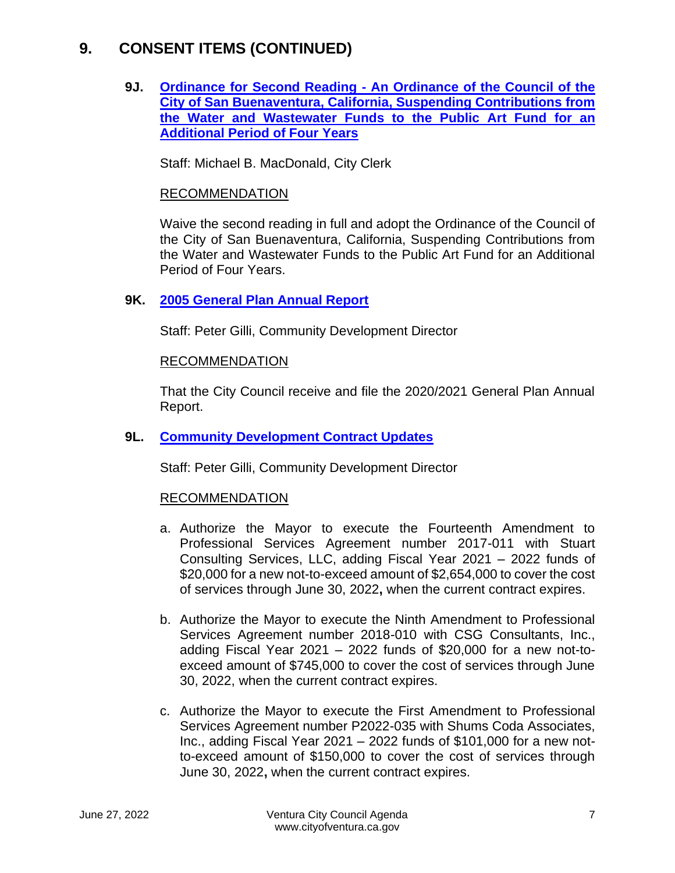**9J. Ordinance for Second Reading - [An Ordinance of the Council of the](https://www.cityofventura.ca.gov/DocumentCenter/View/32077/9J)  [City of San Buenaventura, California, Suspending Contributions from](https://www.cityofventura.ca.gov/DocumentCenter/View/32077/9J)  [the Water and Wastewater Funds to the Public Art Fund for an](https://www.cityofventura.ca.gov/DocumentCenter/View/32077/9J)  [Additional Period of Four Years](https://www.cityofventura.ca.gov/DocumentCenter/View/32077/9J)**

Staff: Michael B. MacDonald, City Clerk

### RECOMMENDATION

Waive the second reading in full and adopt the Ordinance of the Council of the City of San Buenaventura, California, Suspending Contributions from the Water and Wastewater Funds to the Public Art Fund for an Additional Period of Four Years.

#### **9K. [2005 General Plan Annual Report](https://www.cityofventura.ca.gov/DocumentCenter/View/32078/9K)**

Staff: Peter Gilli, Community Development Director

#### RECOMMENDATION

That the City Council receive and file the 2020/2021 General Plan Annual Report.

#### **9L. [Community Development Contract Updates](https://www.cityofventura.ca.gov/DocumentCenter/View/32093/9L)**

Staff: Peter Gilli, Community Development Director

- a. Authorize the Mayor to execute the Fourteenth Amendment to Professional Services Agreement number 2017-011 with Stuart Consulting Services, LLC, adding Fiscal Year 2021 – 2022 funds of \$20,000 for a new not-to-exceed amount of \$2,654,000 to cover the cost of services through June 30, 2022**,** when the current contract expires.
- b. Authorize the Mayor to execute the Ninth Amendment to Professional Services Agreement number 2018-010 with CSG Consultants, Inc., adding Fiscal Year 2021 – 2022 funds of \$20,000 for a new not-toexceed amount of \$745,000 to cover the cost of services through June 30, 2022, when the current contract expires.
- c. Authorize the Mayor to execute the First Amendment to Professional Services Agreement number P2022-035 with Shums Coda Associates, Inc., adding Fiscal Year 2021 – 2022 funds of \$101,000 for a new notto-exceed amount of \$150,000 to cover the cost of services through June 30, 2022**,** when the current contract expires.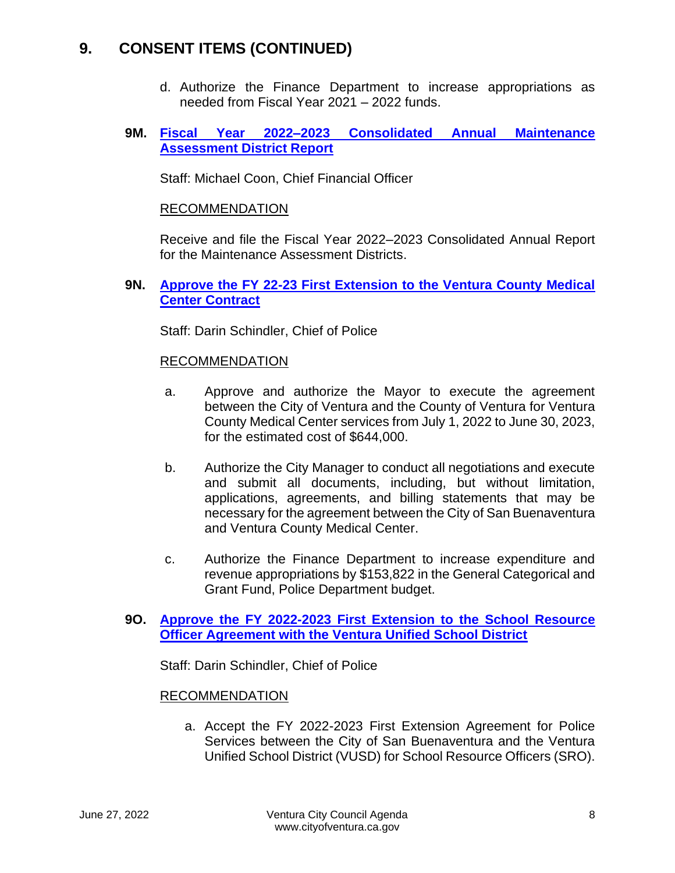- d. Authorize the Finance Department to increase appropriations as needed from Fiscal Year 2021 – 2022 funds.
- **9M. [Fiscal Year 2022–2023 Consolidated Annual Maintenance](https://www.cityofventura.ca.gov/DocumentCenter/View/32079/9M) [Assessment District Report](https://www.cityofventura.ca.gov/DocumentCenter/View/32079/9M)**

Staff: Michael Coon, Chief Financial Officer

### RECOMMENDATION

Receive and file the Fiscal Year 2022–2023 Consolidated Annual Report for the Maintenance Assessment Districts.

**9N. [Approve the FY 22-23 First Extension to the Ventura County Medical](https://www.cityofventura.ca.gov/DocumentCenter/View/32080/9N)  [Center Contract](https://www.cityofventura.ca.gov/DocumentCenter/View/32080/9N)**

Staff: Darin Schindler, Chief of Police

### RECOMMENDATION

- a. Approve and authorize the Mayor to execute the agreement between the City of Ventura and the County of Ventura for Ventura County Medical Center services from July 1, 2022 to June 30, 2023, for the estimated cost of \$644,000.
- b. Authorize the City Manager to conduct all negotiations and execute and submit all documents, including, but without limitation, applications, agreements, and billing statements that may be necessary for the agreement between the City of San Buenaventura and Ventura County Medical Center.
- c. Authorize the Finance Department to increase expenditure and revenue appropriations by \$153,822 in the General Categorical and Grant Fund, Police Department budget.

### **9O. [Approve the FY 2022-2023 First Extension to the School Resource](https://www.cityofventura.ca.gov/DocumentCenter/View/32081/9O)  [Officer Agreement with the Ventura Unified School District](https://www.cityofventura.ca.gov/DocumentCenter/View/32081/9O)**

Staff: Darin Schindler, Chief of Police

### RECOMMENDATION

a. Accept the FY 2022-2023 First Extension Agreement for Police Services between the City of San Buenaventura and the Ventura Unified School District (VUSD) for School Resource Officers (SRO).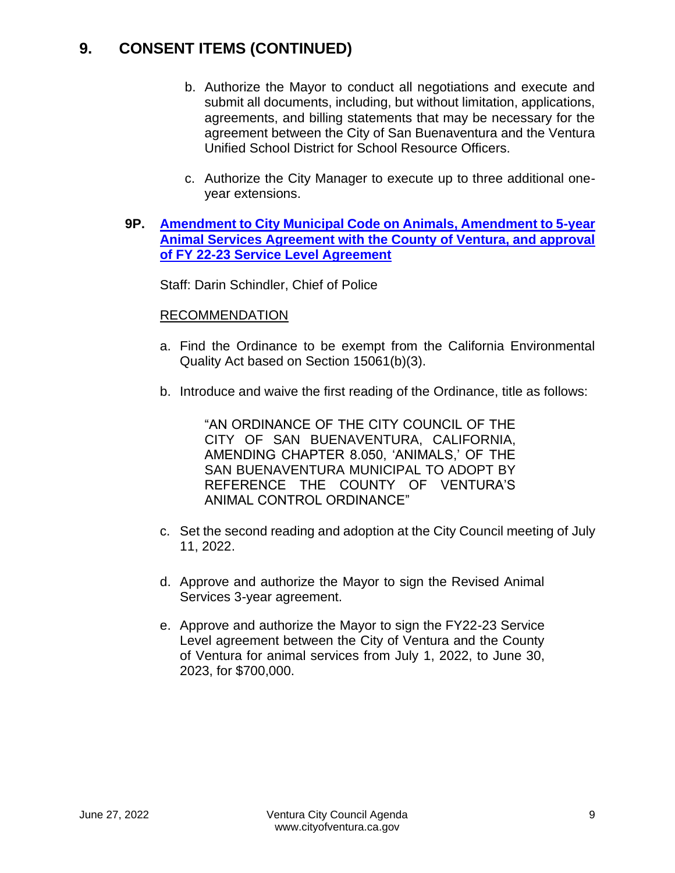- b. Authorize the Mayor to conduct all negotiations and execute and submit all documents, including, but without limitation, applications, agreements, and billing statements that may be necessary for the agreement between the City of San Buenaventura and the Ventura Unified School District for School Resource Officers.
- c. Authorize the City Manager to execute up to three additional oneyear extensions.
- **9P. [Amendment to City Municipal Code on Animals, Amendment to 5-year](https://www.cityofventura.ca.gov/DocumentCenter/View/32082/9P)  [Animal Services Agreement with the County of Ventura, and approval](https://www.cityofventura.ca.gov/DocumentCenter/View/32082/9P)  [of FY 22-23 Service Level Agreement](https://www.cityofventura.ca.gov/DocumentCenter/View/32082/9P)**

Staff: Darin Schindler, Chief of Police

#### RECOMMENDATION

- a. Find the Ordinance to be exempt from the California Environmental Quality Act based on Section 15061(b)(3).
- b. Introduce and waive the first reading of the Ordinance, title as follows:

"AN ORDINANCE OF THE CITY COUNCIL OF THE CITY OF SAN BUENAVENTURA, CALIFORNIA, AMENDING CHAPTER 8.050, 'ANIMALS,' OF THE SAN BUENAVENTURA MUNICIPAL TO ADOPT BY REFERENCE THE COUNTY OF VENTURA'S ANIMAL CONTROL ORDINANCE"

- c. Set the second reading and adoption at the City Council meeting of July 11, 2022.
- d. Approve and authorize the Mayor to sign the Revised Animal Services 3-year agreement.
- e. Approve and authorize the Mayor to sign the FY22-23 Service Level agreement between the City of Ventura and the County of Ventura for animal services from July 1, 2022, to June 30, 2023, for \$700,000.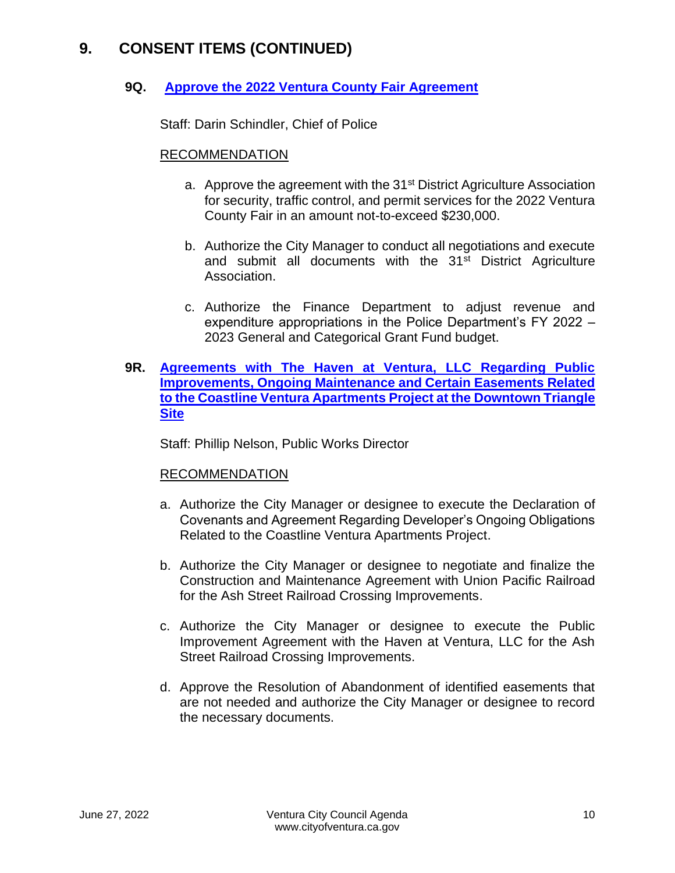### **9Q. [Approve the 2022 Ventura County Fair Agreement](https://www.cityofventura.ca.gov/DocumentCenter/View/32083/9Q)**

Staff: Darin Schindler, Chief of Police

#### RECOMMENDATION

- a. Approve the agreement with the 31<sup>st</sup> District Agriculture Association for security, traffic control, and permit services for the 2022 Ventura County Fair in an amount not-to-exceed \$230,000.
- b. Authorize the City Manager to conduct all negotiations and execute and submit all documents with the 31<sup>st</sup> District Agriculture Association.
- c. Authorize the Finance Department to adjust revenue and expenditure appropriations in the Police Department's FY 2022 – 2023 General and Categorical Grant Fund budget.
- **9R. [Agreements with The Haven at Ventura, LLC Regarding Public](https://www.cityofventura.ca.gov/DocumentCenter/View/32084/9R)  [Improvements, Ongoing Maintenance and Certain Easements Related](https://www.cityofventura.ca.gov/DocumentCenter/View/32084/9R)  [to the Coastline Ventura Apartments Project at the Downtown Triangle](https://www.cityofventura.ca.gov/DocumentCenter/View/32084/9R)  [Site](https://www.cityofventura.ca.gov/DocumentCenter/View/32084/9R)**

Staff: Phillip Nelson, Public Works Director

- a. Authorize the City Manager or designee to execute the Declaration of Covenants and Agreement Regarding Developer's Ongoing Obligations Related to the Coastline Ventura Apartments Project.
- b. Authorize the City Manager or designee to negotiate and finalize the Construction and Maintenance Agreement with Union Pacific Railroad for the Ash Street Railroad Crossing Improvements.
- c. Authorize the City Manager or designee to execute the Public Improvement Agreement with the Haven at Ventura, LLC for the Ash Street Railroad Crossing Improvements.
- d. Approve the Resolution of Abandonment of identified easements that are not needed and authorize the City Manager or designee to record the necessary documents.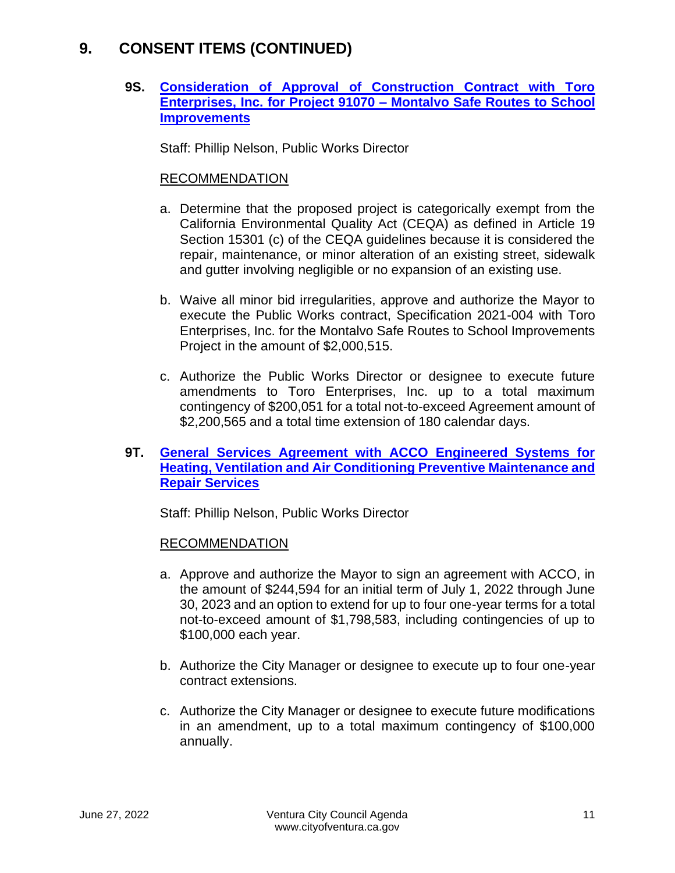### **9S. [Consideration of Approval of Construction Contract with Toro](https://www.cityofventura.ca.gov/DocumentCenter/View/32085/9S)  [Enterprises, Inc. for Project 91070 –](https://www.cityofventura.ca.gov/DocumentCenter/View/32085/9S) Montalvo Safe Routes to School [Improvements](https://www.cityofventura.ca.gov/DocumentCenter/View/32085/9S)**

Staff: Phillip Nelson, Public Works Director

### RECOMMENDATION

- a. Determine that the proposed project is categorically exempt from the California Environmental Quality Act (CEQA) as defined in Article 19 Section 15301 (c) of the CEQA guidelines because it is considered the repair, maintenance, or minor alteration of an existing street, sidewalk and gutter involving negligible or no expansion of an existing use.
- b. Waive all minor bid irregularities, approve and authorize the Mayor to execute the Public Works contract, Specification 2021-004 with Toro Enterprises, Inc. for the Montalvo Safe Routes to School Improvements Project in the amount of \$2,000,515.
- c. Authorize the Public Works Director or designee to execute future amendments to Toro Enterprises, Inc. up to a total maximum contingency of \$200,051 for a total not-to-exceed Agreement amount of \$2,200,565 and a total time extension of 180 calendar days.

### **9T. [General Services Agreement with ACCO Engineered Systems for](https://www.cityofventura.ca.gov/DocumentCenter/View/32086/9T)  [Heating, Ventilation and Air Conditioning Preventive Maintenance and](https://www.cityofventura.ca.gov/DocumentCenter/View/32086/9T)  [Repair Services](https://www.cityofventura.ca.gov/DocumentCenter/View/32086/9T)**

Staff: Phillip Nelson, Public Works Director

- a. Approve and authorize the Mayor to sign an agreement with ACCO, in the amount of \$244,594 for an initial term of July 1, 2022 through June 30, 2023 and an option to extend for up to four one-year terms for a total not-to-exceed amount of \$1,798,583, including contingencies of up to \$100,000 each year.
- b. Authorize the City Manager or designee to execute up to four one-year contract extensions.
- c. Authorize the City Manager or designee to execute future modifications in an amendment, up to a total maximum contingency of \$100,000 annually.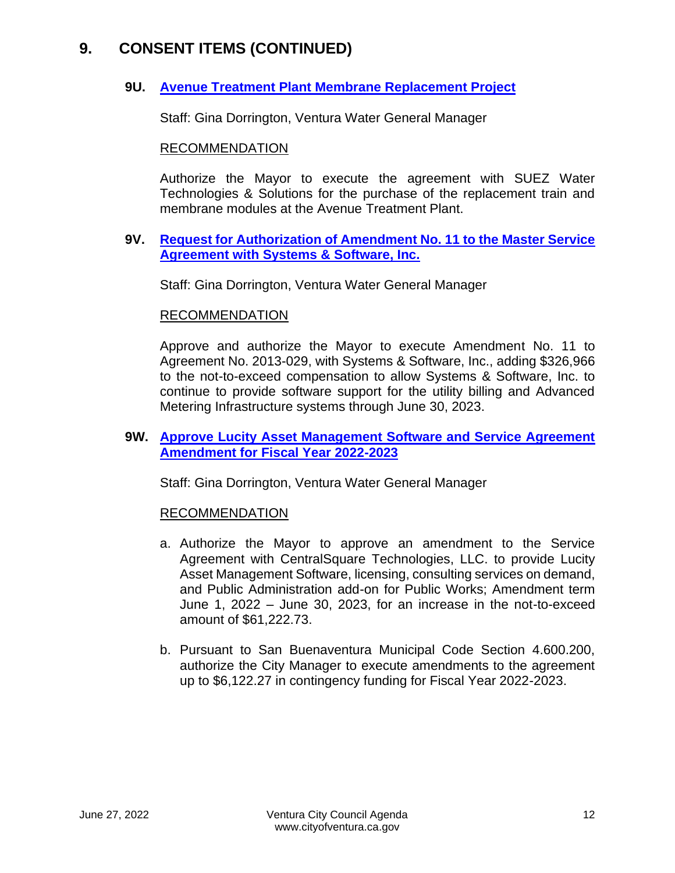### **9U. [Avenue Treatment Plant Membrane Replacement Project](https://www.cityofventura.ca.gov/DocumentCenter/View/32087/9U)**

Staff: Gina Dorrington, Ventura Water General Manager

#### RECOMMENDATION

Authorize the Mayor to execute the agreement with SUEZ Water Technologies & Solutions for the purchase of the replacement train and membrane modules at the Avenue Treatment Plant.

#### **9V. [Request for Authorization of Amendment No. 11 to the Master Service](https://www.cityofventura.ca.gov/DocumentCenter/View/32088/9V)  [Agreement with Systems & Software, Inc.](https://www.cityofventura.ca.gov/DocumentCenter/View/32088/9V)**

Staff: Gina Dorrington, Ventura Water General Manager

#### RECOMMENDATION

Approve and authorize the Mayor to execute Amendment No. 11 to Agreement No. 2013-029, with Systems & Software, Inc., adding \$326,966 to the not-to-exceed compensation to allow Systems & Software, Inc. to continue to provide software support for the utility billing and Advanced Metering Infrastructure systems through June 30, 2023.

### **9W. [Approve Lucity Asset Management Software and Service Agreement](https://www.cityofventura.ca.gov/DocumentCenter/View/32089/9W)  [Amendment for Fiscal Year 2022-2023](https://www.cityofventura.ca.gov/DocumentCenter/View/32089/9W)**

Staff: Gina Dorrington, Ventura Water General Manager

- a. Authorize the Mayor to approve an amendment to the Service Agreement with CentralSquare Technologies, LLC. to provide Lucity Asset Management Software, licensing, consulting services on demand, and Public Administration add-on for Public Works; Amendment term June 1, 2022 – June 30, 2023, for an increase in the not-to-exceed amount of \$61,222.73.
- b. Pursuant to San Buenaventura Municipal Code Section 4.600.200, authorize the City Manager to execute amendments to the agreement up to \$6,122.27 in contingency funding for Fiscal Year 2022-2023.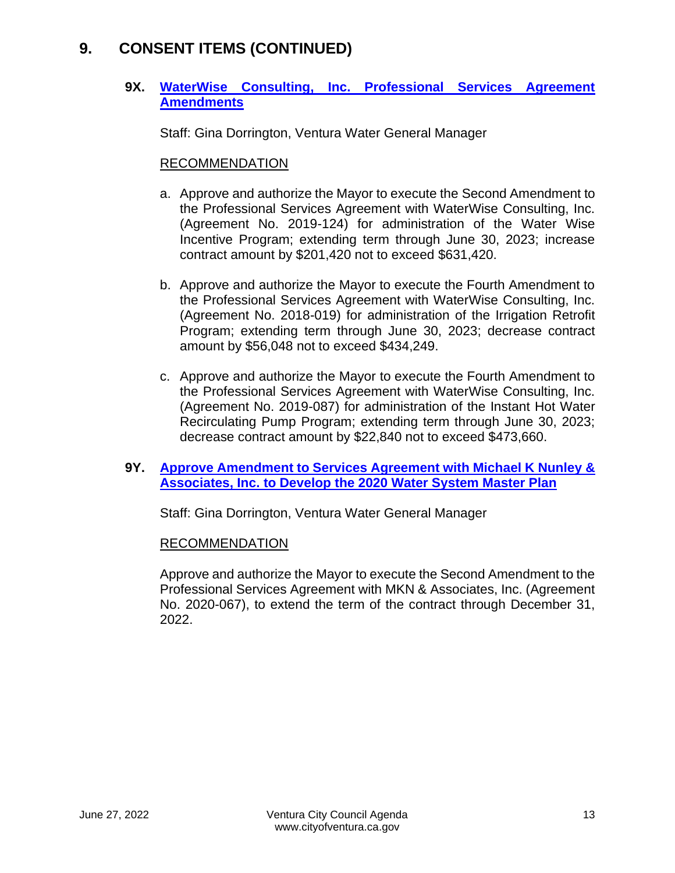### **9X. [WaterWise Consulting, Inc. Professional Services Agreement](https://www.cityofventura.ca.gov/DocumentCenter/View/32090/9X)  [Amendments](https://www.cityofventura.ca.gov/DocumentCenter/View/32090/9X)**

Staff: Gina Dorrington, Ventura Water General Manager

### RECOMMENDATION

- a. Approve and authorize the Mayor to execute the Second Amendment to the Professional Services Agreement with WaterWise Consulting, Inc. (Agreement No. 2019-124) for administration of the Water Wise Incentive Program; extending term through June 30, 2023; increase contract amount by \$201,420 not to exceed \$631,420.
- b. Approve and authorize the Mayor to execute the Fourth Amendment to the Professional Services Agreement with WaterWise Consulting, Inc. (Agreement No. 2018-019) for administration of the Irrigation Retrofit Program; extending term through June 30, 2023; decrease contract amount by \$56,048 not to exceed \$434,249.
- c. Approve and authorize the Mayor to execute the Fourth Amendment to the Professional Services Agreement with WaterWise Consulting, Inc. (Agreement No. 2019-087) for administration of the Instant Hot Water Recirculating Pump Program; extending term through June 30, 2023; decrease contract amount by \$22,840 not to exceed \$473,660.

### **9Y. [Approve Amendment to Services Agreement with Michael K Nunley &](https://www.cityofventura.ca.gov/DocumentCenter/View/32091/9Y)  [Associates, Inc. to Develop the 2020 Water System Master Plan](https://www.cityofventura.ca.gov/DocumentCenter/View/32091/9Y)**

Staff: Gina Dorrington, Ventura Water General Manager

### RECOMMENDATION

Approve and authorize the Mayor to execute the Second Amendment to the Professional Services Agreement with MKN & Associates, Inc. (Agreement No. 2020-067), to extend the term of the contract through December 31, 2022.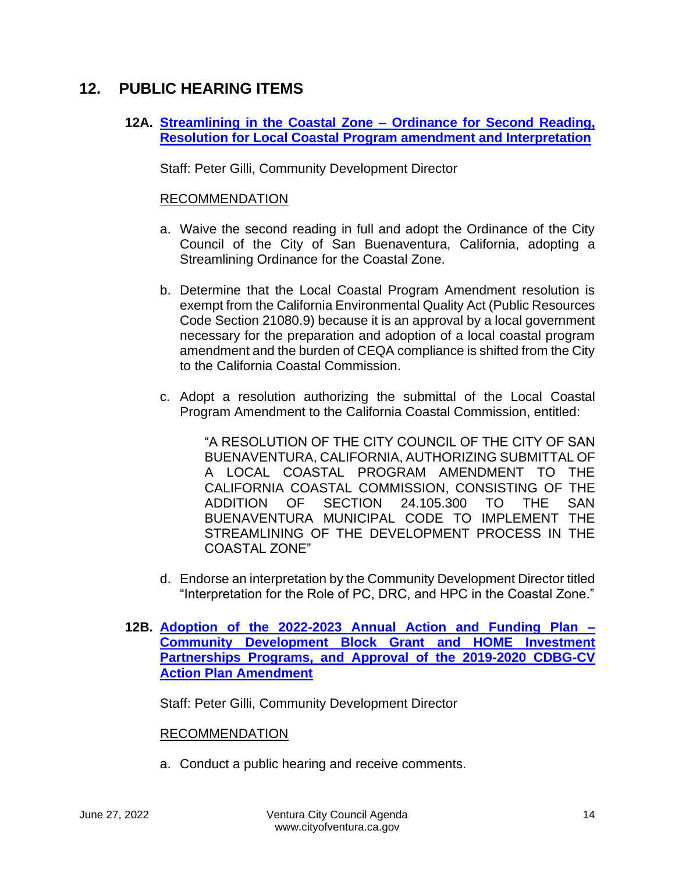### **12. PUBLIC HEARING ITEMS**

### **12A. [Streamlining in the Coastal Zone –](https://www.cityofventura.ca.gov/DocumentCenter/View/32092/12A) Ordinance for Second Reading, [Resolution for Local Coastal Program amendment and Interpretation](https://www.cityofventura.ca.gov/DocumentCenter/View/32092/12A)**

Staff: Peter Gilli, Community Development Director

### RECOMMENDATION

- a. Waive the second reading in full and adopt the Ordinance of the City Council of the City of San Buenaventura, California, adopting a Streamlining Ordinance for the Coastal Zone.
- b. Determine that the Local Coastal Program Amendment resolution is exempt from the California Environmental Quality Act (Public Resources Code Section 21080.9) because it is an approval by a local government necessary for the preparation and adoption of a local coastal program amendment and the burden of CEQA compliance is shifted from the City to the California Coastal Commission.
- c. Adopt a resolution authorizing the submittal of the Local Coastal Program Amendment to the California Coastal Commission, entitled:

"A RESOLUTION OF THE CITY COUNCIL OF THE CITY OF SAN BUENAVENTURA, CALIFORNIA, AUTHORIZING SUBMITTAL OF A LOCAL COASTAL PROGRAM AMENDMENT TO THE CALIFORNIA COASTAL COMMISSION, CONSISTING OF THE ADDITION OF SECTION 24.105.300 TO THE SAN BUENAVENTURA MUNICIPAL CODE TO IMPLEMENT THE STREAMLINING OF THE DEVELOPMENT PROCESS IN THE COASTAL ZONE"

- d. Endorse an interpretation by the Community Development Director titled "Interpretation for the Role of PC, DRC, and HPC in the Coastal Zone."
- **12B. [Adoption of the 2022-2023 Annual Action and Funding Plan –](https://www.cityofventura.ca.gov/DocumentCenter/View/32095/12B) [Community Development Block Grant and HOME Investment](https://www.cityofventura.ca.gov/DocumentCenter/View/32095/12B)  [Partnerships Programs, and Approval of the 2019-2020 CDBG-CV](https://www.cityofventura.ca.gov/DocumentCenter/View/32095/12B)  [Action Plan Amendment](https://www.cityofventura.ca.gov/DocumentCenter/View/32095/12B)**

Staff: Peter Gilli, Community Development Director

#### RECOMMENDATION

a. Conduct a public hearing and receive comments.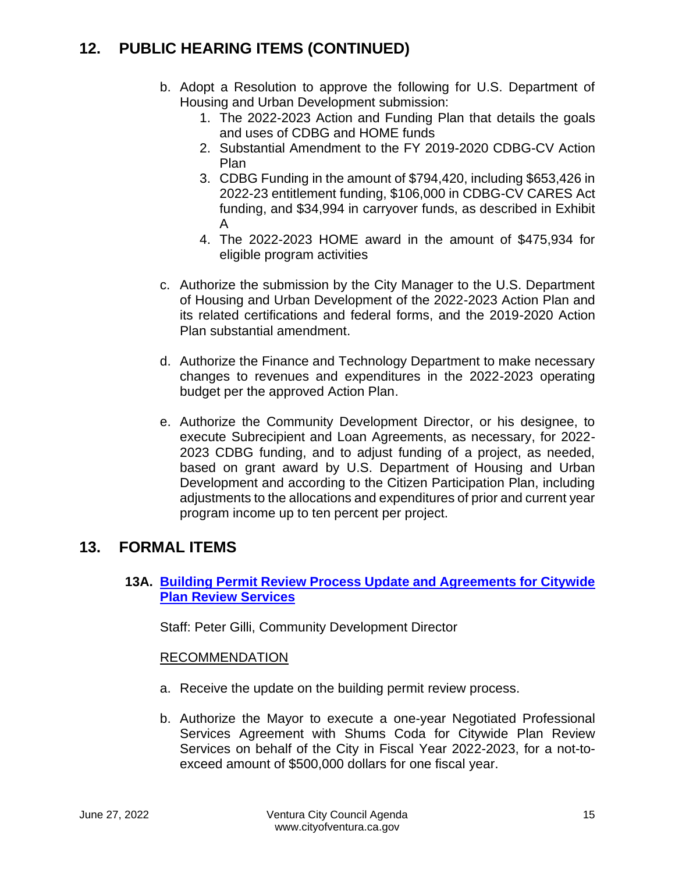# **12. PUBLIC HEARING ITEMS (CONTINUED)**

- b. Adopt a Resolution to approve the following for U.S. Department of Housing and Urban Development submission:
	- 1. The 2022-2023 Action and Funding Plan that details the goals and uses of CDBG and HOME funds
	- 2. Substantial Amendment to the FY 2019-2020 CDBG-CV Action Plan
	- 3. CDBG Funding in the amount of \$794,420, including \$653,426 in 2022-23 entitlement funding, \$106,000 in CDBG-CV CARES Act funding, and \$34,994 in carryover funds, as described in Exhibit A
	- 4. The 2022-2023 HOME award in the amount of \$475,934 for eligible program activities
- c. Authorize the submission by the City Manager to the U.S. Department of Housing and Urban Development of the 2022-2023 Action Plan and its related certifications and federal forms, and the 2019-2020 Action Plan substantial amendment.
- d. Authorize the Finance and Technology Department to make necessary changes to revenues and expenditures in the 2022-2023 operating budget per the approved Action Plan.
- e. Authorize the Community Development Director, or his designee, to execute Subrecipient and Loan Agreements, as necessary, for 2022- 2023 CDBG funding, and to adjust funding of a project, as needed, based on grant award by U.S. Department of Housing and Urban Development and according to the Citizen Participation Plan, including adjustments to the allocations and expenditures of prior and current year program income up to ten percent per project.

# **13. FORMAL ITEMS**

**13A. [Building Permit Review Process Update and Agreements for Citywide](https://www.cityofventura.ca.gov/DocumentCenter/View/32094/13A)  [Plan Review Services](https://www.cityofventura.ca.gov/DocumentCenter/View/32094/13A)**

Staff: Peter Gilli, Community Development Director

- a. Receive the update on the building permit review process.
- b. Authorize the Mayor to execute a one-year Negotiated Professional Services Agreement with Shums Coda for Citywide Plan Review Services on behalf of the City in Fiscal Year 2022-2023, for a not-toexceed amount of \$500,000 dollars for one fiscal year.